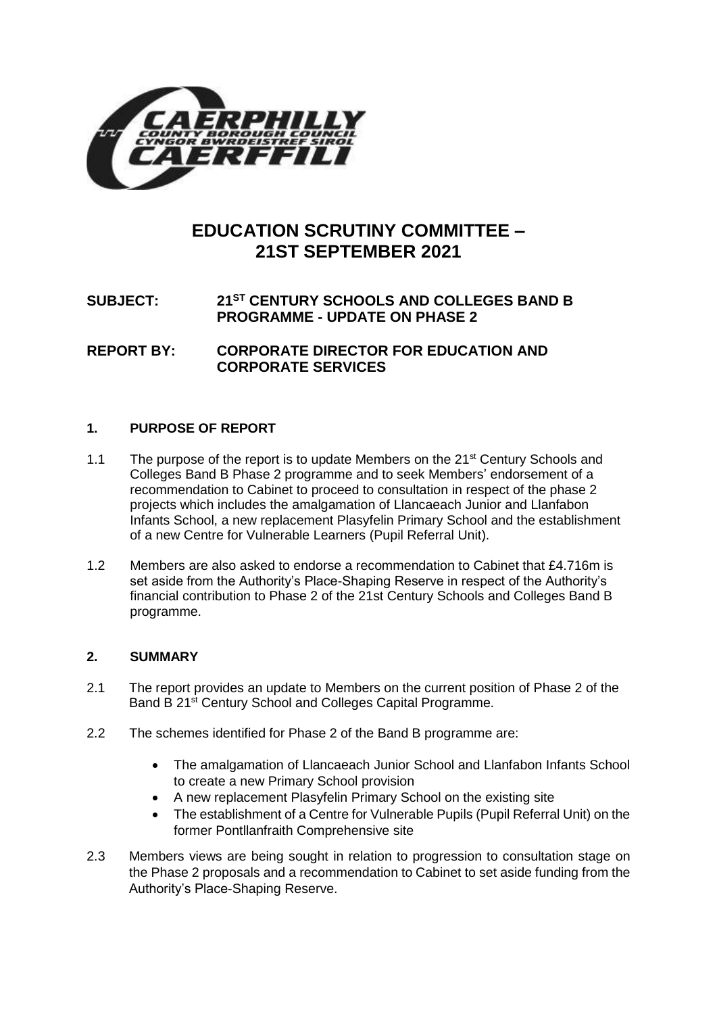

# **EDUCATION SCRUTINY COMMITTEE – 21ST SEPTEMBER 2021**

## **SUBJECT: 21ST CENTURY SCHOOLS AND COLLEGES BAND B PROGRAMME - UPDATE ON PHASE 2**

**REPORT BY: CORPORATE DIRECTOR FOR EDUCATION AND CORPORATE SERVICES**

### **1. PURPOSE OF REPORT**

- 1.1 The purpose of the report is to update Members on the  $21<sup>st</sup>$  Century Schools and Colleges Band B Phase 2 programme and to seek Members' endorsement of a recommendation to Cabinet to proceed to consultation in respect of the phase 2 projects which includes the amalgamation of Llancaeach Junior and Llanfabon Infants School, a new replacement Plasyfelin Primary School and the establishment of a new Centre for Vulnerable Learners (Pupil Referral Unit).
- 1.2 Members are also asked to endorse a recommendation to Cabinet that £4.716m is set aside from the Authority's Place-Shaping Reserve in respect of the Authority's financial contribution to Phase 2 of the 21st Century Schools and Colleges Band B programme.

#### **2. SUMMARY**

- 2.1 The report provides an update to Members on the current position of Phase 2 of the Band B 21<sup>st</sup> Century School and Colleges Capital Programme.
- 2.2 The schemes identified for Phase 2 of the Band B programme are:
	- The amalgamation of Llancaeach Junior School and Llanfabon Infants School to create a new Primary School provision
	- A new replacement Plasyfelin Primary School on the existing site
	- The establishment of a Centre for Vulnerable Pupils (Pupil Referral Unit) on the former Pontllanfraith Comprehensive site
- 2.3 Members views are being sought in relation to progression to consultation stage on the Phase 2 proposals and a recommendation to Cabinet to set aside funding from the Authority's Place-Shaping Reserve.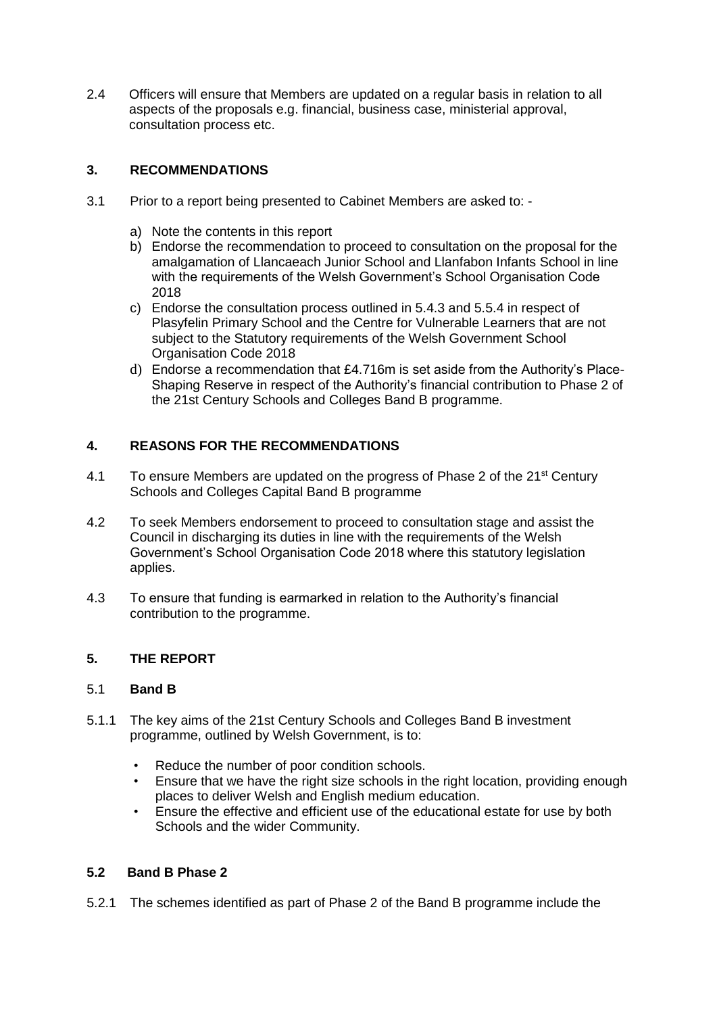2.4 Officers will ensure that Members are updated on a regular basis in relation to all aspects of the proposals e.g. financial, business case, ministerial approval, consultation process etc.

### **3. RECOMMENDATIONS**

- 3.1 Prior to a report being presented to Cabinet Members are asked to:
	- a) Note the contents in this report
	- b) Endorse the recommendation to proceed to consultation on the proposal for the amalgamation of Llancaeach Junior School and Llanfabon Infants School in line with the requirements of the Welsh Government's School Organisation Code 2018
	- c) Endorse the consultation process outlined in 5.4.3 and 5.5.4 in respect of Plasyfelin Primary School and the Centre for Vulnerable Learners that are not subject to the Statutory requirements of the Welsh Government School Organisation Code 2018
	- d) Endorse a recommendation that £4.716m is set aside from the Authority's Place-Shaping Reserve in respect of the Authority's financial contribution to Phase 2 of the 21st Century Schools and Colleges Band B programme.

### **4. REASONS FOR THE RECOMMENDATIONS**

- 4.1 To ensure Members are updated on the progress of Phase 2 of the  $21^{st}$  Century Schools and Colleges Capital Band B programme
- 4.2 To seek Members endorsement to proceed to consultation stage and assist the Council in discharging its duties in line with the requirements of the Welsh Government's School Organisation Code 2018 where this statutory legislation applies.
- 4.3 To ensure that funding is earmarked in relation to the Authority's financial contribution to the programme.

### **5. THE REPORT**

#### 5.1 **Band B**

- 5.1.1 The key aims of the 21st Century Schools and Colleges Band B investment programme, outlined by Welsh Government, is to:
	- Reduce the number of poor condition schools.
	- Ensure that we have the right size schools in the right location, providing enough places to deliver Welsh and English medium education.
	- Ensure the effective and efficient use of the educational estate for use by both Schools and the wider Community.

#### **5.2 Band B Phase 2**

5.2.1 The schemes identified as part of Phase 2 of the Band B programme include the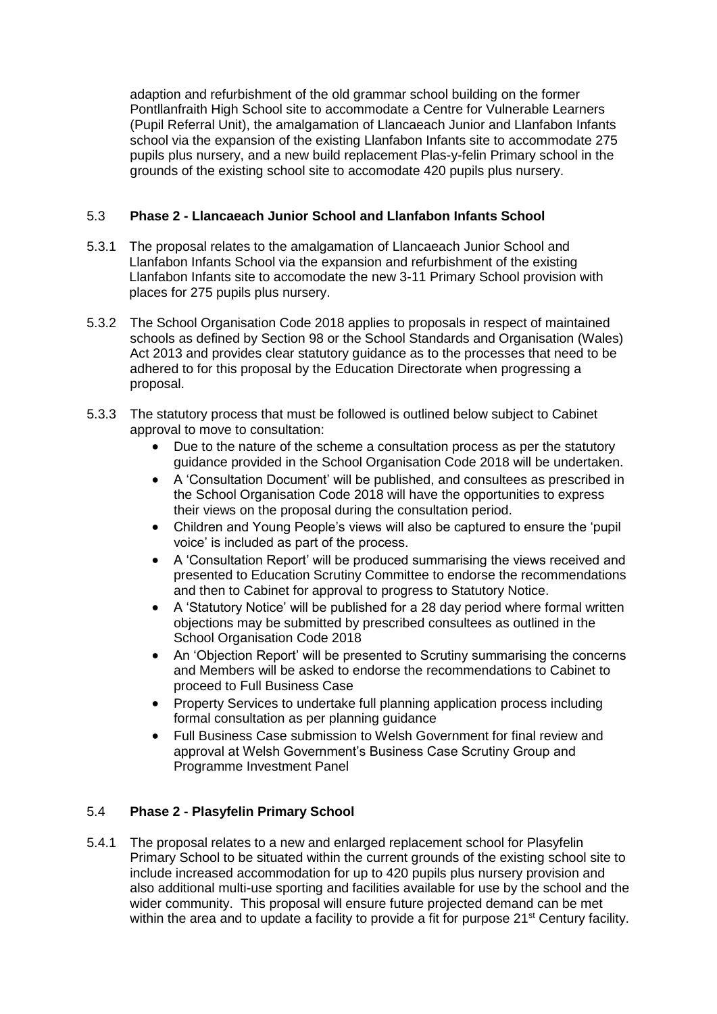adaption and refurbishment of the old grammar school building on the former Pontllanfraith High School site to accommodate a Centre for Vulnerable Learners (Pupil Referral Unit), the amalgamation of Llancaeach Junior and Llanfabon Infants school via the expansion of the existing Llanfabon Infants site to accommodate 275 pupils plus nursery, and a new build replacement Plas-y-felin Primary school in the grounds of the existing school site to accomodate 420 pupils plus nursery.

### 5.3 **Phase 2 - Llancaeach Junior School and Llanfabon Infants School**

- 5.3.1 The proposal relates to the amalgamation of Llancaeach Junior School and Llanfabon Infants School via the expansion and refurbishment of the existing Llanfabon Infants site to accomodate the new 3-11 Primary School provision with places for 275 pupils plus nursery.
- 5.3.2 The School Organisation Code 2018 applies to proposals in respect of maintained schools as defined by Section 98 or the School Standards and Organisation (Wales) Act 2013 and provides clear statutory guidance as to the processes that need to be adhered to for this proposal by the Education Directorate when progressing a proposal.
- 5.3.3 The statutory process that must be followed is outlined below subject to Cabinet approval to move to consultation:
	- Due to the nature of the scheme a consultation process as per the statutory guidance provided in the School Organisation Code 2018 will be undertaken.
	- A 'Consultation Document' will be published, and consultees as prescribed in the School Organisation Code 2018 will have the opportunities to express their views on the proposal during the consultation period.
	- Children and Young People's views will also be captured to ensure the 'pupil voice' is included as part of the process.
	- A 'Consultation Report' will be produced summarising the views received and presented to Education Scrutiny Committee to endorse the recommendations and then to Cabinet for approval to progress to Statutory Notice.
	- A 'Statutory Notice' will be published for a 28 day period where formal written objections may be submitted by prescribed consultees as outlined in the School Organisation Code 2018
	- An 'Objection Report' will be presented to Scrutiny summarising the concerns and Members will be asked to endorse the recommendations to Cabinet to proceed to Full Business Case
	- Property Services to undertake full planning application process including formal consultation as per planning guidance
	- Full Business Case submission to Welsh Government for final review and approval at Welsh Government's Business Case Scrutiny Group and Programme Investment Panel

### 5.4 **Phase 2 - Plasyfelin Primary School**

5.4.1 The proposal relates to a new and enlarged replacement school for Plasyfelin Primary School to be situated within the current grounds of the existing school site to include increased accommodation for up to 420 pupils plus nursery provision and also additional multi-use sporting and facilities available for use by the school and the wider community. This proposal will ensure future projected demand can be met within the area and to update a facility to provide a fit for purpose 21<sup>st</sup> Century facility.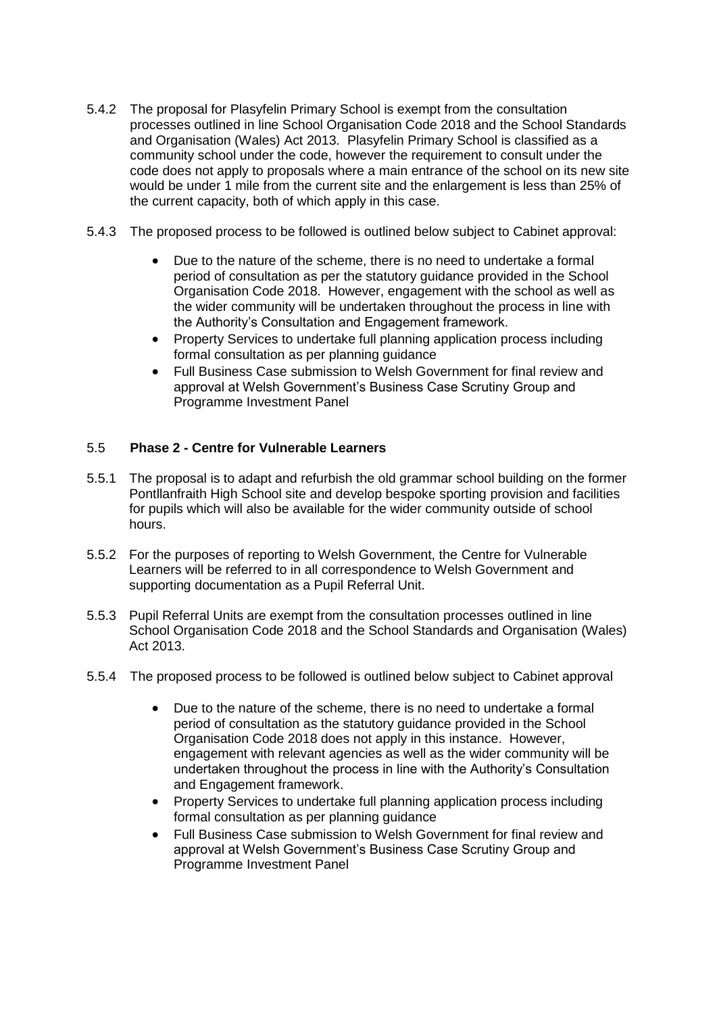- 5.4.2 The proposal for Plasyfelin Primary School is exempt from the consultation processes outlined in line School Organisation Code 2018 and the School Standards and Organisation (Wales) Act 2013. Plasyfelin Primary School is classified as a community school under the code, however the requirement to consult under the code does not apply to proposals where a main entrance of the school on its new site would be under 1 mile from the current site and the enlargement is less than 25% of the current capacity, both of which apply in this case.
- 5.4.3 The proposed process to be followed is outlined below subject to Cabinet approval:
	- Due to the nature of the scheme, there is no need to undertake a formal period of consultation as per the statutory guidance provided in the School Organisation Code 2018. However, engagement with the school as well as the wider community will be undertaken throughout the process in line with the Authority's Consultation and Engagement framework.
	- Property Services to undertake full planning application process including formal consultation as per planning guidance
	- Full Business Case submission to Welsh Government for final review and approval at Welsh Government's Business Case Scrutiny Group and Programme Investment Panel

### 5.5 **Phase 2 - Centre for Vulnerable Learners**

- 5.5.1 The proposal is to adapt and refurbish the old grammar school building on the former Pontllanfraith High School site and develop bespoke sporting provision and facilities for pupils which will also be available for the wider community outside of school hours.
- 5.5.2 For the purposes of reporting to Welsh Government, the Centre for Vulnerable Learners will be referred to in all correspondence to Welsh Government and supporting documentation as a Pupil Referral Unit.
- 5.5.3 Pupil Referral Units are exempt from the consultation processes outlined in line School Organisation Code 2018 and the School Standards and Organisation (Wales) Act 2013.
- 5.5.4 The proposed process to be followed is outlined below subject to Cabinet approval
	- Due to the nature of the scheme, there is no need to undertake a formal period of consultation as the statutory guidance provided in the School Organisation Code 2018 does not apply in this instance. However, engagement with relevant agencies as well as the wider community will be undertaken throughout the process in line with the Authority's Consultation and Engagement framework.
	- Property Services to undertake full planning application process including formal consultation as per planning guidance
	- Full Business Case submission to Welsh Government for final review and approval at Welsh Government's Business Case Scrutiny Group and Programme Investment Panel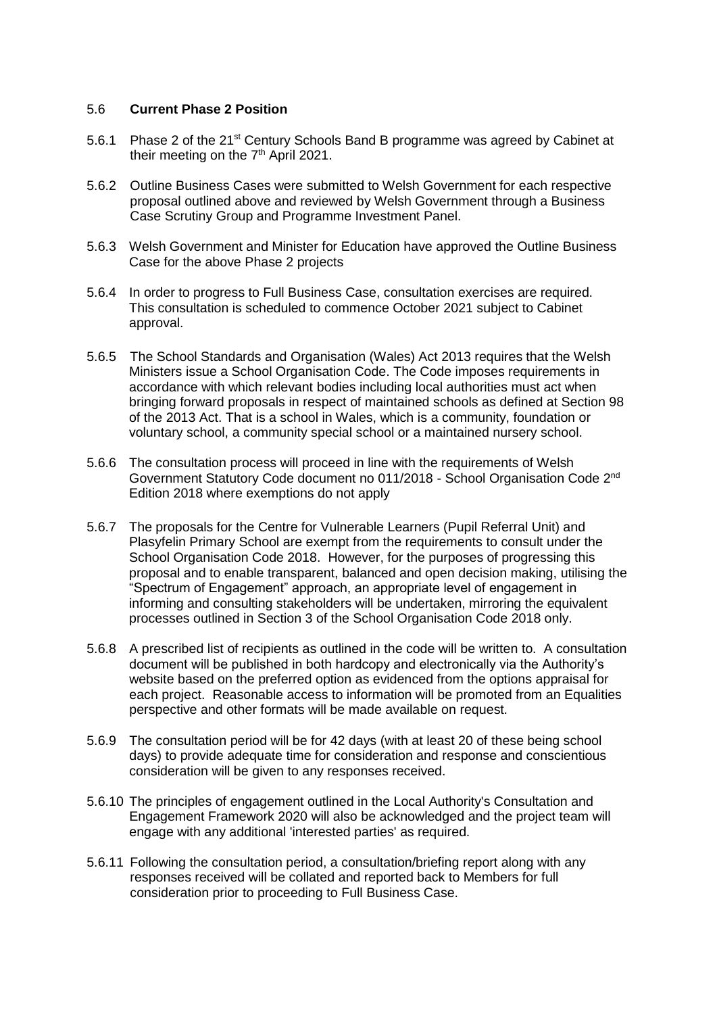#### 5.6 **Current Phase 2 Position**

- 5.6.1 Phase 2 of the 21<sup>st</sup> Century Schools Band B programme was agreed by Cabinet at their meeting on the 7<sup>th</sup> April 2021.
- 5.6.2 Outline Business Cases were submitted to Welsh Government for each respective proposal outlined above and reviewed by Welsh Government through a Business Case Scrutiny Group and Programme Investment Panel.
- 5.6.3 Welsh Government and Minister for Education have approved the Outline Business Case for the above Phase 2 projects
- 5.6.4 In order to progress to Full Business Case, consultation exercises are required. This consultation is scheduled to commence October 2021 subject to Cabinet approval.
- 5.6.5 The School Standards and Organisation (Wales) Act 2013 requires that the Welsh Ministers issue a School Organisation Code. The Code imposes requirements in accordance with which relevant bodies including local authorities must act when bringing forward proposals in respect of maintained schools as defined at Section 98 of the 2013 Act. That is a school in Wales, which is a community, foundation or voluntary school, a community special school or a maintained nursery school.
- 5.6.6 The consultation process will proceed in line with the requirements of Welsh Government Statutory Code document no 011/2018 - School Organisation Code 2nd Edition 2018 where exemptions do not apply
- 5.6.7 The proposals for the Centre for Vulnerable Learners (Pupil Referral Unit) and Plasyfelin Primary School are exempt from the requirements to consult under the School Organisation Code 2018. However, for the purposes of progressing this proposal and to enable transparent, balanced and open decision making, utilising the "Spectrum of Engagement" approach, an appropriate level of engagement in informing and consulting stakeholders will be undertaken, mirroring the equivalent processes outlined in Section 3 of the School Organisation Code 2018 only.
- 5.6.8 A prescribed list of recipients as outlined in the code will be written to. A consultation document will be published in both hardcopy and electronically via the Authority's website based on the preferred option as evidenced from the options appraisal for each project. Reasonable access to information will be promoted from an Equalities perspective and other formats will be made available on request.
- 5.6.9 The consultation period will be for 42 days (with at least 20 of these being school days) to provide adequate time for consideration and response and conscientious consideration will be given to any responses received.
- 5.6.10 The principles of engagement outlined in the Local Authority's Consultation and Engagement Framework 2020 will also be acknowledged and the project team will engage with any additional 'interested parties' as required.
- 5.6.11 Following the consultation period, a consultation/briefing report along with any responses received will be collated and reported back to Members for full consideration prior to proceeding to Full Business Case.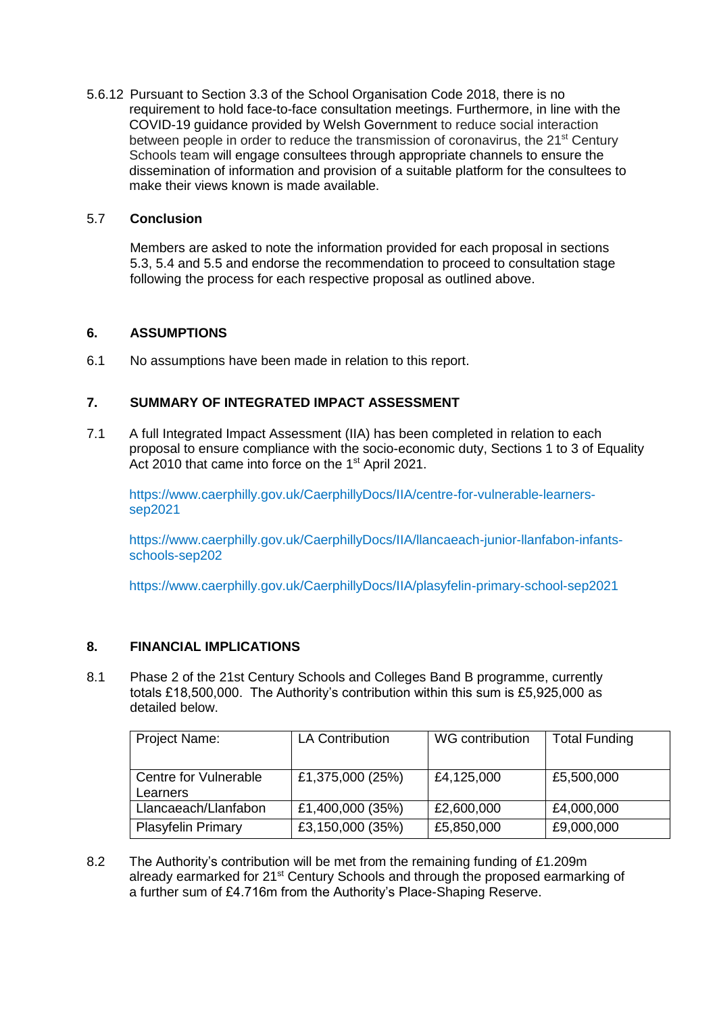5.6.12 Pursuant to Section 3.3 of the School Organisation Code 2018, there is no requirement to hold face-to-face consultation meetings. Furthermore, in line with the COVID-19 guidance provided by Welsh Government to reduce social interaction between people in order to reduce the transmission of coronavirus, the 21<sup>st</sup> Century Schools team will engage consultees through appropriate channels to ensure the dissemination of information and provision of a suitable platform for the consultees to make their views known is made available.

#### 5.7 **Conclusion**

Members are asked to note the information provided for each proposal in sections 5.3, 5.4 and 5.5 and endorse the recommendation to proceed to consultation stage following the process for each respective proposal as outlined above.

#### **6. ASSUMPTIONS**

6.1 No assumptions have been made in relation to this report.

### **7. SUMMARY OF INTEGRATED IMPACT ASSESSMENT**

7.1 A full Integrated Impact Assessment (IIA) has been completed in relation to each proposal to ensure compliance with the socio-economic duty, Sections 1 to 3 of Equality Act 2010 that came into force on the 1<sup>st</sup> April 2021.

[https://www.caerphilly.gov.uk/CaerphillyDocs/IIA/centre-for-vulnerable-learners](https://www.caerphilly.gov.uk/CaerphillyDocs/IIA/centre-for-vulnerable-learners-sep2021)[sep2021](https://www.caerphilly.gov.uk/CaerphillyDocs/IIA/centre-for-vulnerable-learners-sep2021)

[https://www.caerphilly.gov.uk/CaerphillyDocs/IIA/llancaeach-junior-llanfabon-infants](https://www.caerphilly.gov.uk/CaerphillyDocs/IIA/llancaeach-junior-llanfabon-infants-schools-sep202)[schools-sep202](https://www.caerphilly.gov.uk/CaerphillyDocs/IIA/llancaeach-junior-llanfabon-infants-schools-sep202)

<https://www.caerphilly.gov.uk/CaerphillyDocs/IIA/plasyfelin-primary-school-sep2021>

#### **8. FINANCIAL IMPLICATIONS**

8.1 Phase 2 of the 21st Century Schools and Colleges Band B programme, currently totals £18,500,000. The Authority's contribution within this sum is £5,925,000 as detailed below.

| Project Name:                     | <b>LA Contribution</b> | WG contribution | <b>Total Funding</b> |
|-----------------------------------|------------------------|-----------------|----------------------|
| Centre for Vulnerable<br>Learners | £1,375,000 (25%)       | £4,125,000      | £5,500,000           |
| Llancaeach/Llanfabon              | £1,400,000 (35%)       | £2,600,000      | £4,000,000           |
| <b>Plasyfelin Primary</b>         | £3,150,000 (35%)       | £5,850,000      | £9,000,000           |

8.2 The Authority's contribution will be met from the remaining funding of £1.209m already earmarked for 21<sup>st</sup> Century Schools and through the proposed earmarking of a further sum of £4.716m from the Authority's Place-Shaping Reserve.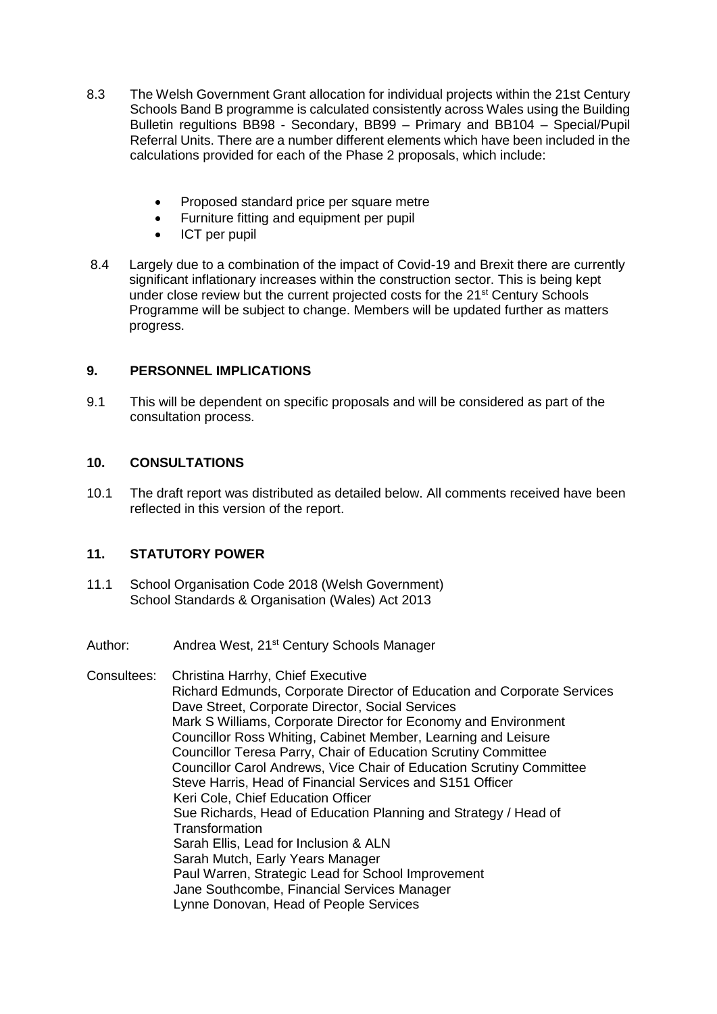- 8.3 The Welsh Government Grant allocation for individual projects within the 21st Century Schools Band B programme is calculated consistently across Wales using the Building Bulletin regultions BB98 - Secondary, BB99 – Primary and BB104 – Special/Pupil Referral Units. There are a number different elements which have been included in the calculations provided for each of the Phase 2 proposals, which include:
	- Proposed standard price per square metre
	- Furniture fitting and equipment per pupil
	- ICT per pupil
- 8.4 Largely due to a combination of the impact of Covid-19 and Brexit there are currently significant inflationary increases within the construction sector. This is being kept under close review but the current projected costs for the 21<sup>st</sup> Century Schools Programme will be subject to change. Members will be updated further as matters progress.

### **9. PERSONNEL IMPLICATIONS**

9.1 This will be dependent on specific proposals and will be considered as part of the consultation process.

#### **10. CONSULTATIONS**

10.1 The draft report was distributed as detailed below. All comments received have been reflected in this version of the report.

#### **11. STATUTORY POWER**

- 11.1 School Organisation Code 2018 (Welsh Government) School Standards & Organisation (Wales) Act 2013
- Author: Andrea West, 21<sup>st</sup> Century Schools Manager
- Consultees: Christina Harrhy, Chief Executive Richard Edmunds, Corporate Director of Education and Corporate Services Dave Street, Corporate Director, Social Services Mark S Williams, Corporate Director for Economy and Environment Councillor Ross Whiting, Cabinet Member, Learning and Leisure Councillor Teresa Parry, Chair of Education Scrutiny Committee Councillor Carol Andrews, Vice Chair of Education Scrutiny Committee Steve Harris, Head of Financial Services and S151 Officer Keri Cole, Chief Education Officer Sue Richards, Head of Education Planning and Strategy / Head of **Transformation** Sarah Ellis, Lead for Inclusion & ALN Sarah Mutch, Early Years Manager Paul Warren, Strategic Lead for School Improvement Jane Southcombe, Financial Services Manager Lynne Donovan, Head of People Services